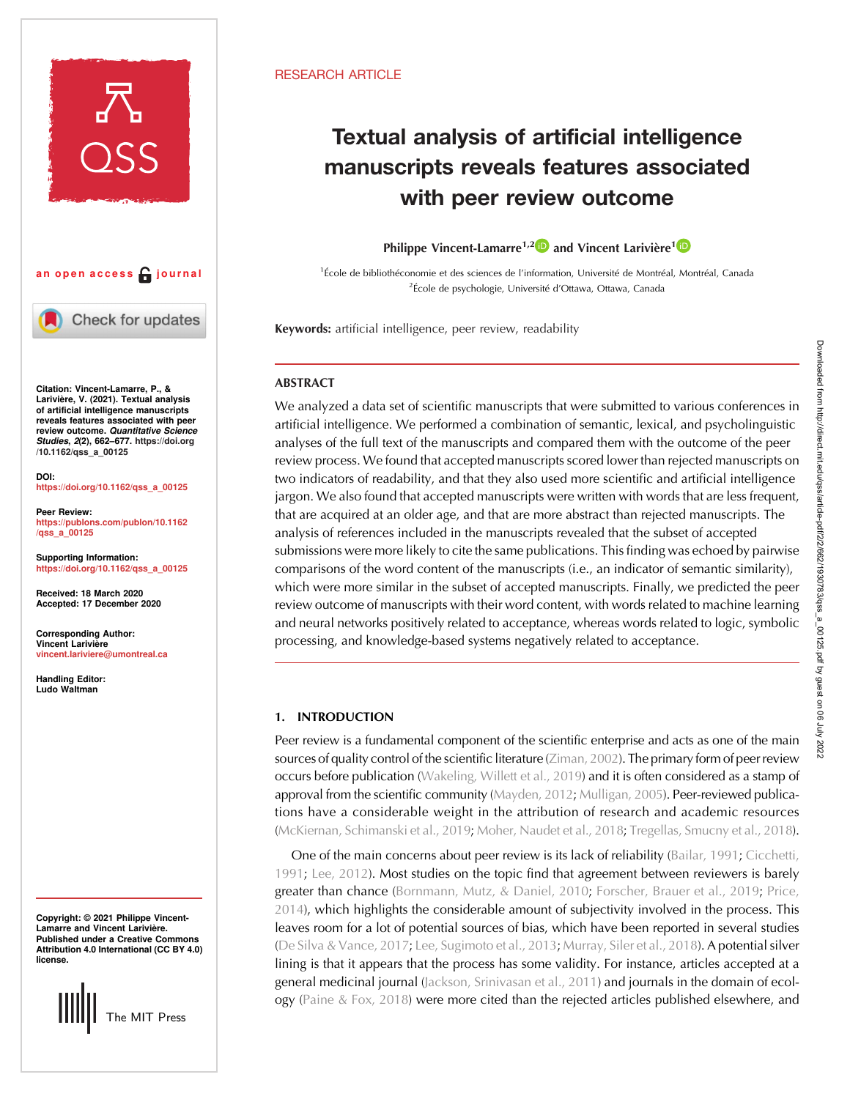



Check for updates

Citation: Vincent-Lamarre, P., & Larivière, V. (2021). Textual analysis of artificial intelligence manuscripts reveals features associated with peer review outcome. Quantitative Science Studies, 2(2), 662–677. [https://doi.org](https://doi.org/10.1162/qss_a_00125) [/10.1162/qss\\_a\\_00125](https://doi.org/10.1162/qss_a_00125)

DOI: [https://doi.org/10.1162/qss\\_a\\_00125](https://doi.org/10.1162/qss_a_00125)

Peer Review: [https://publons.com/publon/10.1162](https://publons.com/publon/10.1162/qss_a_00125) [/qss\\_a\\_00125](https://publons.com/publon/10.1162/qss_a_00125)

Supporting Information: [https://doi.org/10.1162/qss\\_a\\_00125](https://doi.org/10.1162/qss_a_00125)

Received: 18 March 2020 Accepted: 17 December 2020

Corresponding Author: Vincent Larivière [vincent.lariviere@umontreal.ca](mailto:vincent.lariviere@umontreal.ca)

Handling Editor: Ludo Waltman

Copyright: © 2021 Philippe Vincent-Lamarre and Vincent Larivière. Published under a Creative Commons Attribution 4.0 International (CC BY 4.0) license.



## RESEARCH ARTICLE

# Textual analysis of artificial intelligence manuscripts reveals features associated with peer review outcome

Philippe Vincent-Lamarre<sup>1,[2](https://orcid.org/0000-0002-1358-8937)</sup> and Vincent Larivière<sup>[1](https://orcid.org/0000-0002-2733-0689)</sup>

1 École de bibliothéconomie et des sciences de l'information, Université de Montréal, Montréal, Canada <sup>2</sup>École de psychologie, Université d'Ottawa, Ottawa, Canada

Keywords: artificial intelligence, peer review, readability

# **ABSTRACT**

We analyzed a data set of scientific manuscripts that were submitted to various conferences in artificial intelligence. We performed a combination of semantic, lexical, and psycholinguistic analyses of the full text of the manuscripts and compared them with the outcome of the peer review process. We found that accepted manuscripts scored lower than rejected manuscripts on two indicators of readability, and that they also used more scientific and artificial intelligence jargon. We also found that accepted manuscripts were written with words that are less frequent, that are acquired at an older age, and that are more abstract than rejected manuscripts. The analysis of references included in the manuscripts revealed that the subset of accepted submissions were more likely to cite the same publications. This finding was echoed by pairwise comparisons of the word content of the manuscripts (i.e., an indicator of semantic similarity), which were more similar in the subset of accepted manuscripts. Finally, we predicted the peer review outcome of manuscripts with their word content, with words related to machine learning and neural networks positively related to acceptance, whereas words related to logic, symbolic processing, and knowledge-based systems negatively related to acceptance.

## 1. INTRODUCTION

Peer review is a fundamental component of the scientific enterprise and acts as one of the main sources of quality control of the scientific literature ([Ziman, 2002\)](#page-15-0). The primary form of peer review occurs before publication [\(Wakeling, Willett et al., 2019](#page-15-0)) and it is often considered as a stamp of approval from the scientific community ([Mayden, 2012](#page-14-0); [Mulligan, 2005\)](#page-14-0). Peer-reviewed publications have a considerable weight in the attribution of research and academic resources [\(McKiernan, Schimanski et al., 2019](#page-14-0); [Moher, Naudet et al., 2018](#page-14-0); [Tregellas, Smucny et al., 2018\)](#page-15-0).

One of the main concerns about peer review is its lack of reliability [\(Bailar, 1991;](#page-13-0) [Cicchetti,](#page-13-0) [1991](#page-13-0); [Lee, 2012](#page-14-0)). Most studies on the topic find that agreement between reviewers is barely greater than chance [\(Bornmann, Mutz, & Daniel, 2010](#page-13-0); [Forscher, Brauer et al., 2019](#page-14-0); [Price,](#page-15-0) [2014\)](#page-15-0), which highlights the considerable amount of subjectivity involved in the process. This leaves room for a lot of potential sources of bias, which have been reported in several studies ([De Silva & Vance, 2017;](#page-14-0) [Lee, Sugimoto et al., 2013](#page-14-0); [Murray, Siler et al., 2018\)](#page-14-0). A potential silver lining is that it appears that the process has some validity. For instance, articles accepted at a general medicinal journal [\(Jackson, Srinivasan et al., 2011\)](#page-14-0) and journals in the domain of ecology [\(Paine & Fox, 2018](#page-14-0)) were more cited than the rejected articles published elsewhere, and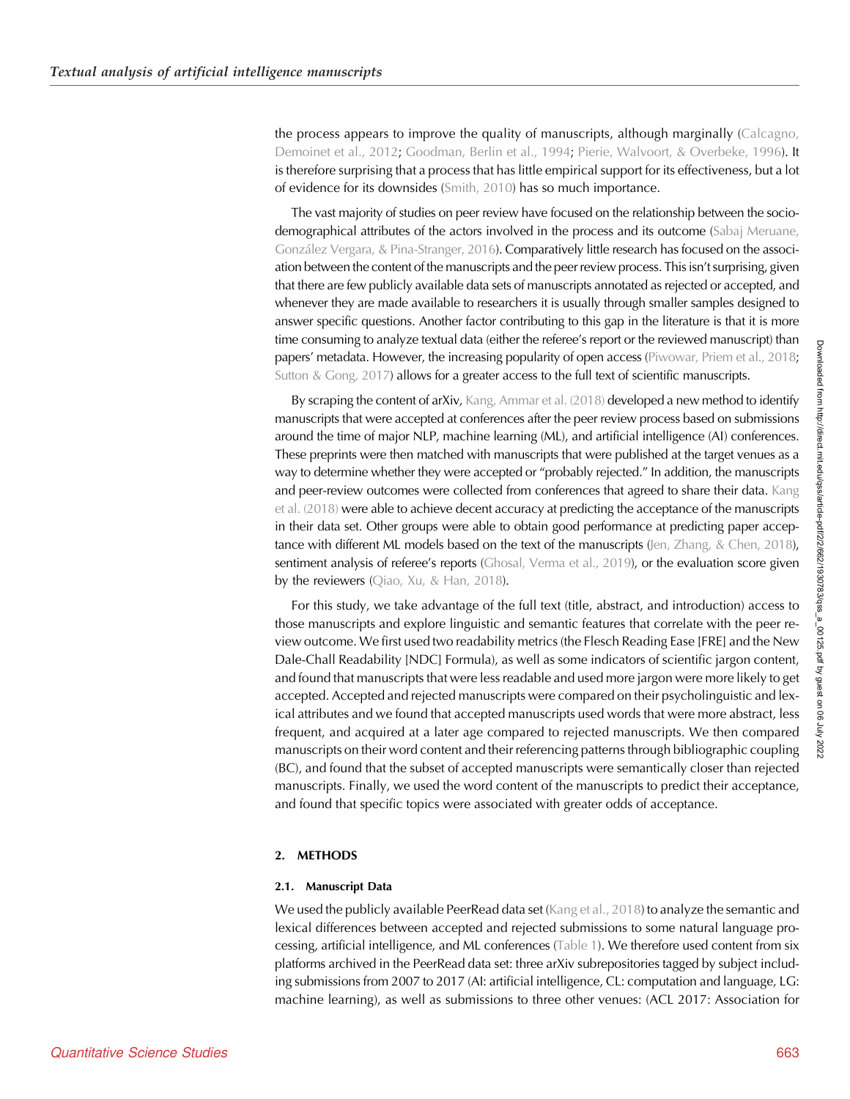the process appears to improve the quality of manuscripts, although marginally [\(Calcagno,](#page-13-0) [Demoinet et al., 2012](#page-13-0); [Goodman, Berlin et al., 1994](#page-14-0); [Pierie, Walvoort, & Overbeke, 1996](#page-14-0)). It is therefore surprising that a process that has little empirical support for its effectiveness, but a lot of evidence for its downsides [\(Smith, 2010](#page-15-0)) has so much importance.

The vast majority of studies on peer review have focused on the relationship between the sociodemographical attributes of the actors involved in the process and its outcome [\(Sabaj Meruane,](#page-15-0) [González Vergara, & Pina-Stranger, 2016](#page-15-0)). Comparatively little research has focused on the association between the content of the manuscripts and the peer review process. This isn't surprising, given that there are few publicly available data sets of manuscripts annotated as rejected or accepted, and whenever they are made available to researchers it is usually through smaller samples designed to answer specific questions. Another factor contributing to this gap in the literature is that it is more time consuming to analyze textual data (either the referee's report or the reviewed manuscript) than papers' metadata. However, the increasing popularity of open access [\(Piwowar, Priem et al., 2018](#page-15-0); [Sutton & Gong, 2017\)](#page-15-0) allows for a greater access to the full text of scientific manuscripts.

By scraping the content of arXiv, [Kang, Ammar et al. \(2018\)](#page-14-0) developed a new method to identify manuscripts that were accepted at conferences after the peer review process based on submissions around the time of major NLP, machine learning (ML), and artificial intelligence (AI) conferences. These preprints were then matched with manuscripts that were published at the target venues as a way to determine whether they were accepted or "probably rejected." In addition, the manuscripts and peer-review outcomes were collected from conferences that agreed to share their data. [Kang](#page-14-0) [et al. \(2018\)](#page-14-0) were able to achieve decent accuracy at predicting the acceptance of the manuscripts in their data set. Other groups were able to obtain good performance at predicting paper acceptance with different ML models based on the text of the manuscripts (Jen, Zhang,  $\&$  Chen, 2018), sentiment analysis of referee's reports ([Ghosal, Verma et al., 2019\)](#page-14-0), or the evaluation score given by the reviewers [\(Qiao, Xu, & Han, 2018\)](#page-15-0).

For this study, we take advantage of the full text (title, abstract, and introduction) access to those manuscripts and explore linguistic and semantic features that correlate with the peer review outcome. We first used two readability metrics (the Flesch Reading Ease [FRE] and the New Dale-Chall Readability [NDC] Formula), as well as some indicators of scientific jargon content, and found that manuscripts that were less readable and used more jargon were more likely to get accepted. Accepted and rejected manuscripts were compared on their psycholinguistic and lexical attributes and we found that accepted manuscripts used words that were more abstract, less frequent, and acquired at a later age compared to rejected manuscripts. We then compared manuscripts on their word content and their referencing patterns through bibliographic coupling (BC), and found that the subset of accepted manuscripts were semantically closer than rejected manuscripts. Finally, we used the word content of the manuscripts to predict their acceptance, and found that specific topics were associated with greater odds of acceptance.

## 2. METHODS

#### 2.1. Manuscript Data

We used the publicly available PeerRead data set ([Kang et al., 2018\)](#page-14-0) to analyze the semantic and lexical differences between accepted and rejected submissions to some natural language processing, artificial intelligence, and ML conferences [\(Table 1\)](#page-2-0). We therefore used content from six platforms archived in the PeerRead data set: three arXiv subrepositories tagged by subject including submissions from 2007 to 2017 (AI: artificial intelligence, CL: computation and language, LG: machine learning), as well as submissions to three other venues: (ACL 2017: Association for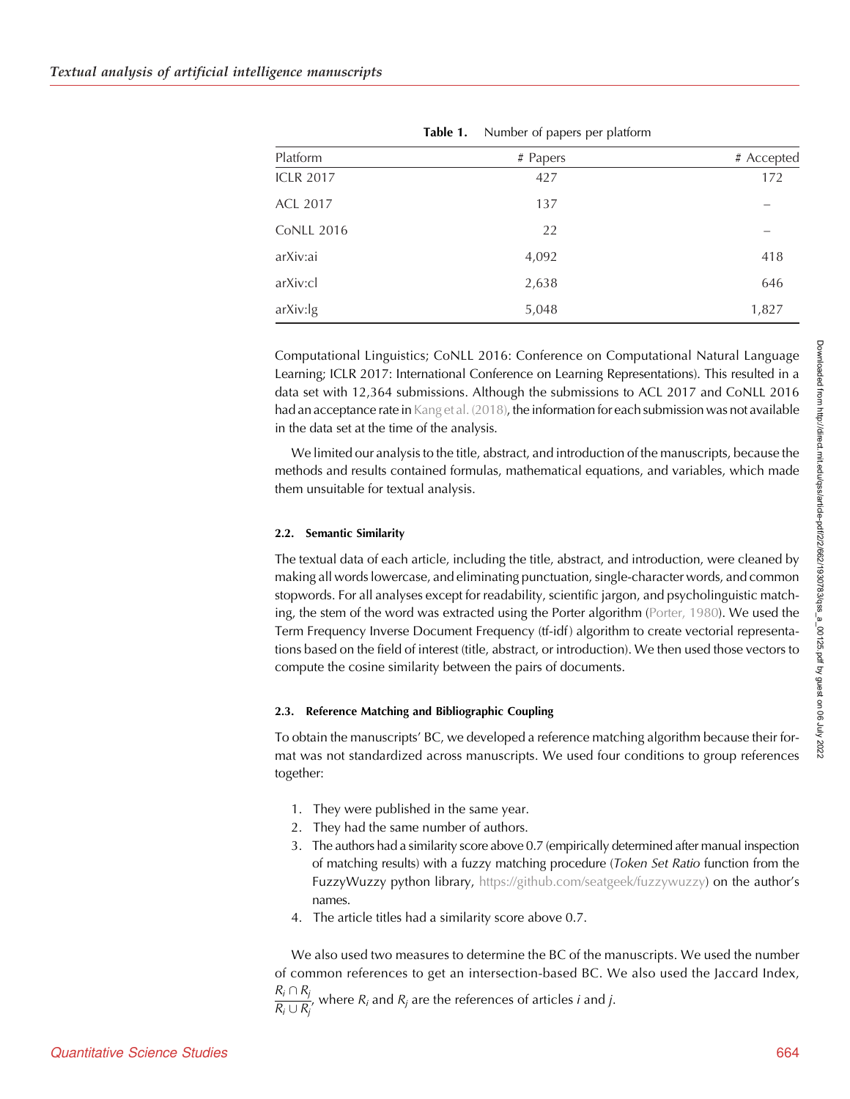<span id="page-2-0"></span>

| Platform          | # Papers | # Accepted |
|-------------------|----------|------------|
| <b>ICLR 2017</b>  | 427      | 172        |
| <b>ACL 2017</b>   | 137      |            |
| <b>CoNLL 2016</b> | 22       |            |
| arXiv:ai          | 4,092    | 418        |
| arXiv:cl          | 2,638    | 646        |
| arXiv:lg          | 5,048    | 1,827      |

Table 1. Number of papers per platform

Computational Linguistics; CoNLL 2016: Conference on Computational Natural Language Learning; ICLR 2017: International Conference on Learning Representations). This resulted in a data set with 12,364 submissions. Although the submissions to ACL 2017 and CoNLL 2016 had an acceptance rate in [Kang et al. \(2018\)](#page-14-0), the information for each submission was not available in the data set at the time of the analysis.

We limited our analysis to the title, abstract, and introduction of the manuscripts, because the methods and results contained formulas, mathematical equations, and variables, which made them unsuitable for textual analysis.

#### 2.2. Semantic Similarity

The textual data of each article, including the title, abstract, and introduction, were cleaned by making all words lowercase, and eliminating punctuation, single-character words, and common stopwords. For all analyses except for readability, scientific jargon, and psycholinguistic matching, the stem of the word was extracted using the Porter algorithm ([Porter, 1980\)](#page-15-0). We used the Term Frequency Inverse Document Frequency (tf-idf) algorithm to create vectorial representations based on the field of interest (title, abstract, or introduction). We then used those vectors to compute the cosine similarity between the pairs of documents.

#### 2.3. Reference Matching and Bibliographic Coupling

To obtain the manuscripts' BC, we developed a reference matching algorithm because their format was not standardized across manuscripts. We used four conditions to group references together:

- 1. They were published in the same year.
- 2. They had the same number of authors.
- 3. The authors had a similarity score above 0.7 (empirically determined after manual inspection of matching results) with a fuzzy matching procedure (Token Set Ratio function from the FuzzyWuzzy python library, <https://github.com/seatgeek/fuzzywuzzy>) on the author's names.
- 4. The article titles had a similarity score above 0.7.

We also used two measures to determine the BC of the manuscripts. We used the number of common references to get an intersection-based BC. We also used the Jaccard Index,

 $R_i \cap R_j$  $\frac{R_i + R_j}{R_i \cup R_j}$ , where  $R_i$  and  $R_j$  are the references of articles *i* and *j*.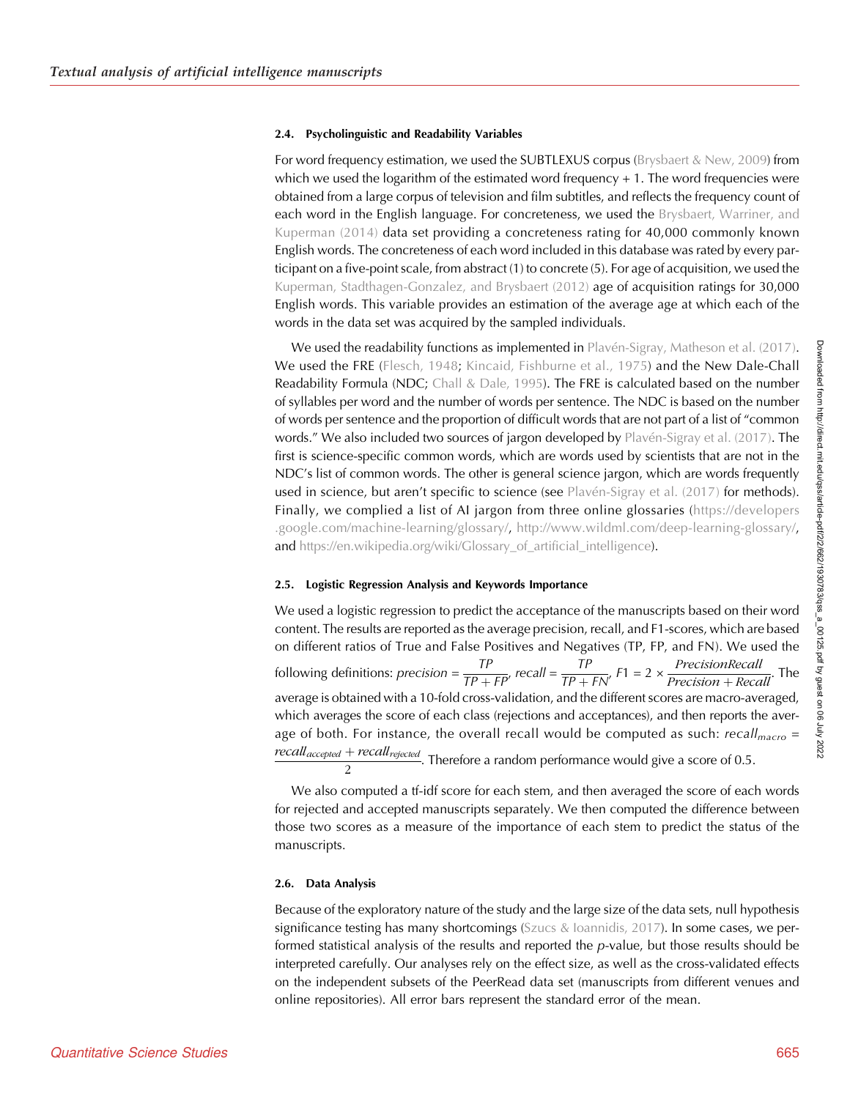#### 2.4. Psycholinguistic and Readability Variables

For word frequency estimation, we used the SUBTLEXUS corpus [\(Brysbaert & New, 2009\)](#page-13-0) from which we used the logarithm of the estimated word frequency  $+1$ . The word frequencies were obtained from a large corpus of television and film subtitles, and reflects the frequency count of each word in the English language. For concreteness, we used the [Brysbaert, Warriner, and](#page-13-0) [Kuperman \(2014\)](#page-13-0) data set providing a concreteness rating for 40,000 commonly known English words. The concreteness of each word included in this database was rated by every participant on a five-point scale, from abstract (1) to concrete (5). For age of acquisition, we used the [Kuperman, Stadthagen-Gonzalez, and Brysbaert \(2012\)](#page-14-0) age of acquisition ratings for 30,000 English words. This variable provides an estimation of the average age at which each of the words in the data set was acquired by the sampled individuals.

We used the readability functions as implemented in [Plavén-Sigray, Matheson et al. \(2017\)](#page-15-0). We used the FRE ([Flesch, 1948](#page-14-0); [Kincaid, Fishburne et al., 1975\)](#page-14-0) and the New Dale-Chall Readability Formula (NDC; [Chall & Dale, 1995](#page-13-0)). The FRE is calculated based on the number of syllables per word and the number of words per sentence. The NDC is based on the number of words per sentence and the proportion of difficult words that are not part of a list of "common words." We also included two sources of jargon developed by [Plavén-Sigray et al. \(2017\).](#page-15-0) The first is science-specific common words, which are words used by scientists that are not in the NDC's list of common words. The other is general science jargon, which are words frequently used in science, but aren't specific to science (see [Plavén-Sigray et al. \(2017\)](#page-15-0) for methods). Finally, we complied a list of AI jargon from three online glossaries ([https://developers](https://developers.google.com/machine-learning/glossary/) [.google.com/machine-learning/glossary/](https://developers.google.com/machine-learning/glossary/), <http://www.wildml.com/deep-learning-glossary/>, and https://en.wikipedia.org/wiki/Glossary of artificial intelligence).

#### 2.5. Logistic Regression Analysis and Keywords Importance

We used a logistic regression to predict the acceptance of the manuscripts based on their word content. The results are reported as the average precision, recall, and F1-scores, which are based on different ratios of True and False Positives and Negatives (TP, FP, and FN). We used the following definitions: *precision* =  $\frac{TP}{TP + FP'}$ , recall =  $\frac{TP}{TP + FN'}$ , F1 = 2 ×  $\frac{PrecisionRecall}{Precision + Recall}$ . The average is obtained with a 10-fold cross-validation, and the different scores are macro-averaged, which averages the score of each class (rejections and acceptances), and then reports the average of both. For instance, the overall recall would be computed as such:  $recall_{macro} =$  $recall_{accepted} + recall_{rejected}$  $\frac{1}{2}$  . Therefore a random performance would give a score of 0.5.

We also computed a tf-idf score for each stem, and then averaged the score of each words for rejected and accepted manuscripts separately. We then computed the difference between those two scores as a measure of the importance of each stem to predict the status of the manuscripts.

#### 2.6. Data Analysis

Because of the exploratory nature of the study and the large size of the data sets, null hypothesis significance testing has many shortcomings ([Szucs & Ioannidis, 2017](#page-15-0)). In some cases, we performed statistical analysis of the results and reported the  $p$ -value, but those results should be interpreted carefully. Our analyses rely on the effect size, as well as the cross-validated effects on the independent subsets of the PeerRead data set (manuscripts from different venues and online repositories). All error bars represent the standard error of the mean.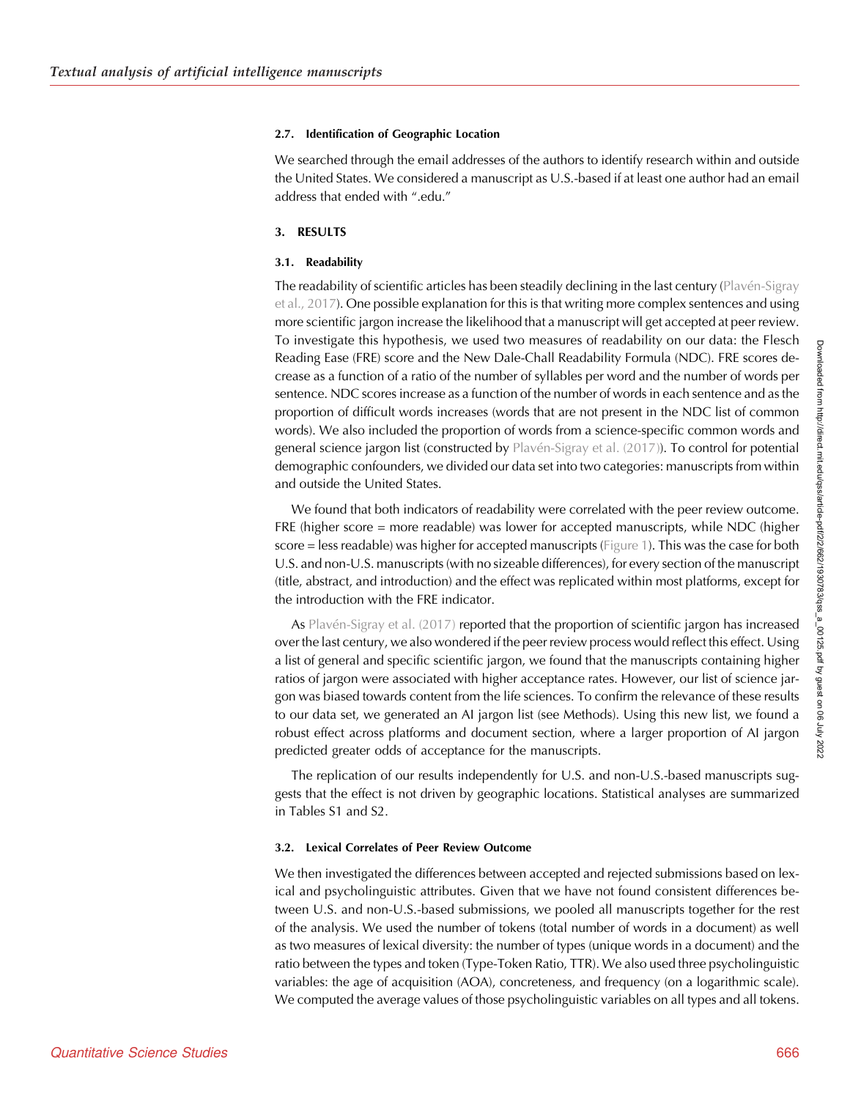#### 2.7. Identification of Geographic Location

We searched through the email addresses of the authors to identify research within and outside the United States. We considered a manuscript as U.S.-based if at least one author had an email address that ended with ".edu."

## 3. RESULTS

## 3.1. Readability

The readability of scientific articles has been steadily declining in the last century [\(Plavén-Sigray](#page-15-0) [et al., 2017](#page-15-0)). One possible explanation for this is that writing more complex sentences and using more scientific jargon increase the likelihood that a manuscript will get accepted at peer review. To investigate this hypothesis, we used two measures of readability on our data: the Flesch Reading Ease (FRE) score and the New Dale-Chall Readability Formula (NDC). FRE scores decrease as a function of a ratio of the number of syllables per word and the number of words per sentence. NDC scores increase as a function of the number of words in each sentence and as the proportion of difficult words increases (words that are not present in the NDC list of common words). We also included the proportion of words from a science-specific common words and general science jargon list (constructed by [Plavén-Sigray et al. \(2017\)\)](#page-15-0). To control for potential demographic confounders, we divided our data set into two categories: manuscripts from within and outside the United States.

We found that both indicators of readability were correlated with the peer review outcome. FRE (higher score = more readable) was lower for accepted manuscripts, while NDC (higher score = less readable) was higher for accepted manuscripts ([Figure 1](#page-5-0)). This was the case for both U.S. and non-U.S. manuscripts (with no sizeable differences), for every section of the manuscript (title, abstract, and introduction) and the effect was replicated within most platforms, except for the introduction with the FRE indicator.

As [Plavén-Sigray et al. \(2017\)](#page-15-0) reported that the proportion of scientific jargon has increased over the last century, we also wondered if the peer review process would reflect this effect. Using a list of general and specific scientific jargon, we found that the manuscripts containing higher ratios of jargon were associated with higher acceptance rates. However, our list of science jargon was biased towards content from the life sciences. To confirm the relevance of these results to our data set, we generated an AI jargon list (see Methods). Using this new list, we found a robust effect across platforms and document section, where a larger proportion of AI jargon predicted greater odds of acceptance for the manuscripts.

The replication of our results independently for U.S. and non-U.S.-based manuscripts suggests that the effect is not driven by geographic locations. Statistical analyses are summarized in Tables S1 and S2.

## 3.2. Lexical Correlates of Peer Review Outcome

We then investigated the differences between accepted and rejected submissions based on lexical and psycholinguistic attributes. Given that we have not found consistent differences between U.S. and non-U.S.-based submissions, we pooled all manuscripts together for the rest of the analysis. We used the number of tokens (total number of words in a document) as well as two measures of lexical diversity: the number of types (unique words in a document) and the ratio between the types and token (Type-Token Ratio, TTR). We also used three psycholinguistic variables: the age of acquisition (AOA), concreteness, and frequency (on a logarithmic scale). We computed the average values of those psycholinguistic variables on all types and all tokens.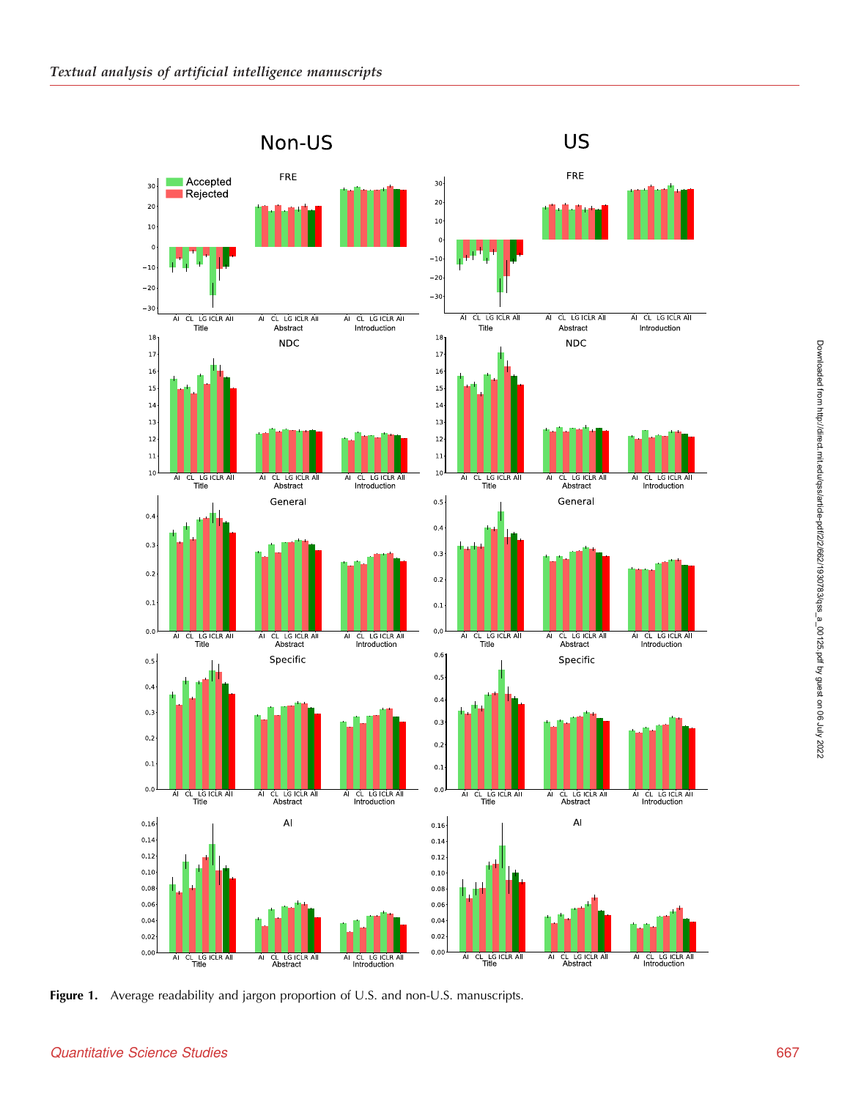<span id="page-5-0"></span>

Figure 1. Average readability and jargon proportion of U.S. and non-U.S. manuscripts.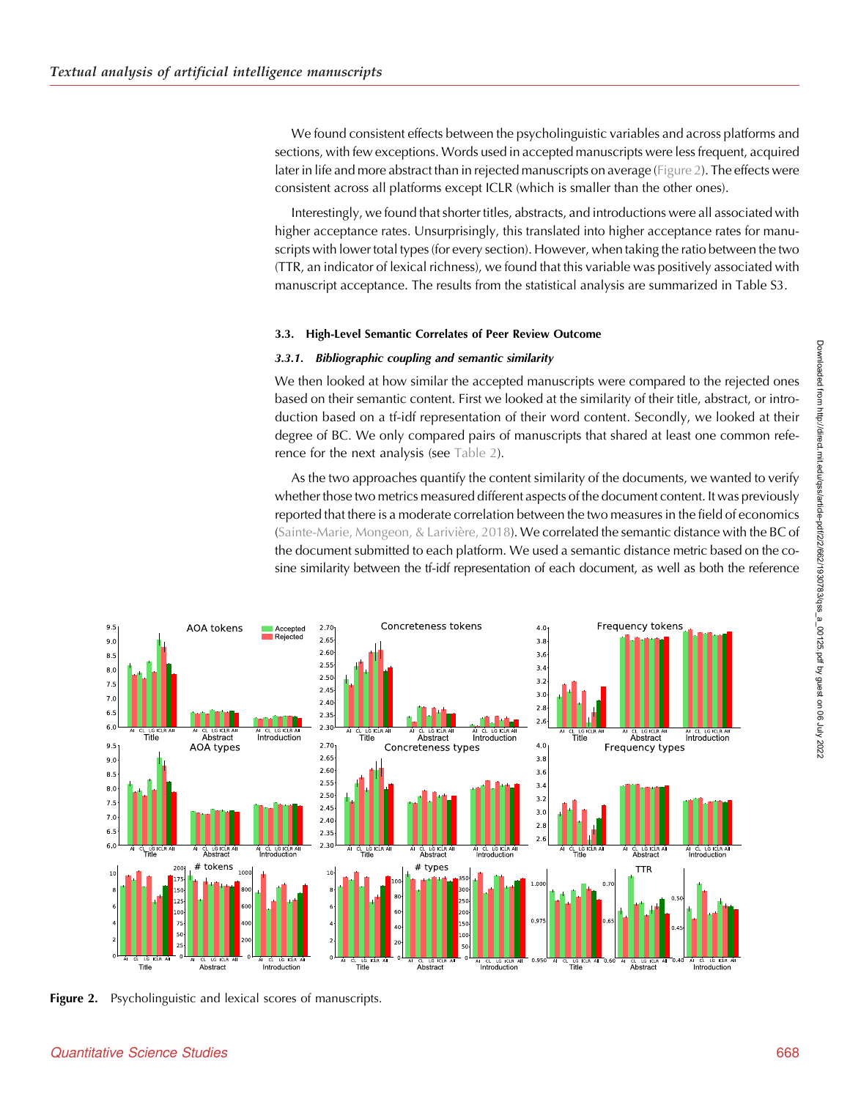We found consistent effects between the psycholinguistic variables and across platforms and sections, with few exceptions. Words used in accepted manuscripts were less frequent, acquired later in life and more abstract than in rejected manuscripts on average (Figure 2). The effects were consistent across all platforms except ICLR (which is smaller than the other ones).

Interestingly, we found that shorter titles, abstracts, and introductions were all associated with higher acceptance rates. Unsurprisingly, this translated into higher acceptance rates for manuscripts with lower total types (for every section). However, when taking the ratio between the two (TTR, an indicator of lexical richness), we found that this variable was positively associated with manuscript acceptance. The results from the statistical analysis are summarized in Table S3.

#### 3.3. High-Level Semantic Correlates of Peer Review Outcome

#### 3.3.1. Bibliographic coupling and semantic similarity

We then looked at how similar the accepted manuscripts were compared to the rejected ones based on their semantic content. First we looked at the similarity of their title, abstract, or introduction based on a tf-idf representation of their word content. Secondly, we looked at their degree of BC. We only compared pairs of manuscripts that shared at least one common reference for the next analysis (see [Table 2](#page-7-0)).

As the two approaches quantify the content similarity of the documents, we wanted to verify whether those two metrics measured different aspects of the document content. It was previously reported that there is a moderate correlation between the two measures in the field of economics ([Sainte-Marie, Mongeon, & Larivière, 2018\)](#page-15-0). We correlated the semantic distance with the BC of the document submitted to each platform. We used a semantic distance metric based on the cosine similarity between the tf-idf representation of each document, as well as both the reference



Figure 2. Psycholinguistic and lexical scores of manuscripts.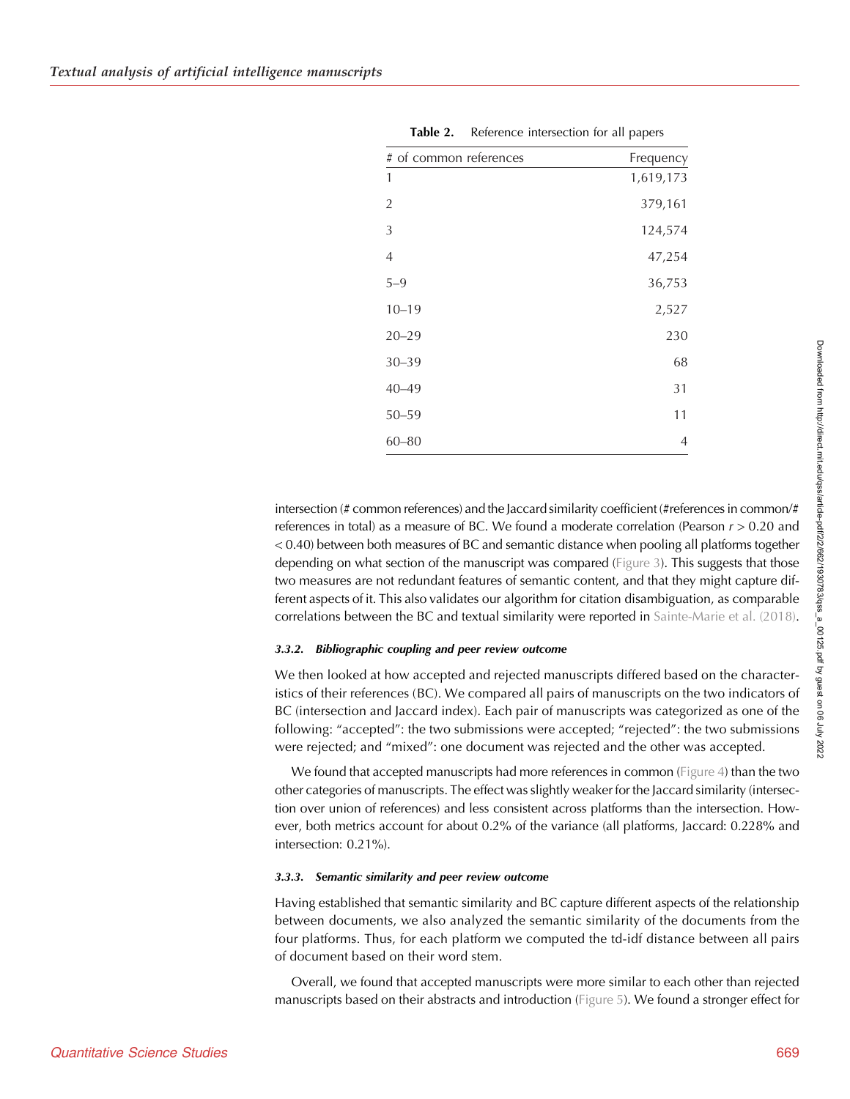<span id="page-7-0"></span>

| # of common references | Frequency      |  |  |
|------------------------|----------------|--|--|
| 1                      | 1,619,173      |  |  |
| $\overline{2}$         | 379,161        |  |  |
| 3                      | 124,574        |  |  |
| $\overline{4}$         | 47,254         |  |  |
| $5 - 9$                | 36,753         |  |  |
| $10 - 19$              | 2,527          |  |  |
| $20 - 29$              | 230            |  |  |
| $30 - 39$              | 68             |  |  |
| $40 - 49$              | 31             |  |  |
| $50 - 59$              | 11             |  |  |
| $60 - 80$              | $\overline{4}$ |  |  |

| Table 2. |  |  |  | Reference intersection for all papers |  |  |  |
|----------|--|--|--|---------------------------------------|--|--|--|
|----------|--|--|--|---------------------------------------|--|--|--|

intersection (# common references) and the Jaccard similarity coefficient (#references in common/# references in total) as a measure of BC. We found a moderate correlation (Pearson  $r > 0.20$  and < 0.40) between both measures of BC and semantic distance when pooling all platforms together depending on what section of the manuscript was compared ([Figure 3\)](#page-8-0). This suggests that those two measures are not redundant features of semantic content, and that they might capture different aspects of it. This also validates our algorithm for citation disambiguation, as comparable correlations between the BC and textual similarity were reported in [Sainte-Marie et al. \(2018\)](#page-15-0).

#### 3.3.2. Bibliographic coupling and peer review outcome

We then looked at how accepted and rejected manuscripts differed based on the characteristics of their references (BC). We compared all pairs of manuscripts on the two indicators of BC (intersection and Jaccard index). Each pair of manuscripts was categorized as one of the following: "accepted": the two submissions were accepted; "rejected": the two submissions were rejected; and "mixed": one document was rejected and the other was accepted.

We found that accepted manuscripts had more references in common [\(Figure 4](#page-8-0)) than the two other categories of manuscripts. The effect was slightly weaker for the Jaccard similarity (intersection over union of references) and less consistent across platforms than the intersection. However, both metrics account for about 0.2% of the variance (all platforms, Jaccard: 0.228% and intersection: 0.21%).

#### 3.3.3. Semantic similarity and peer review outcome

Having established that semantic similarity and BC capture different aspects of the relationship between documents, we also analyzed the semantic similarity of the documents from the four platforms. Thus, for each platform we computed the td-idf distance between all pairs of document based on their word stem.

Overall, we found that accepted manuscripts were more similar to each other than rejected manuscripts based on their abstracts and introduction ([Figure 5\)](#page-9-0). We found a stronger effect for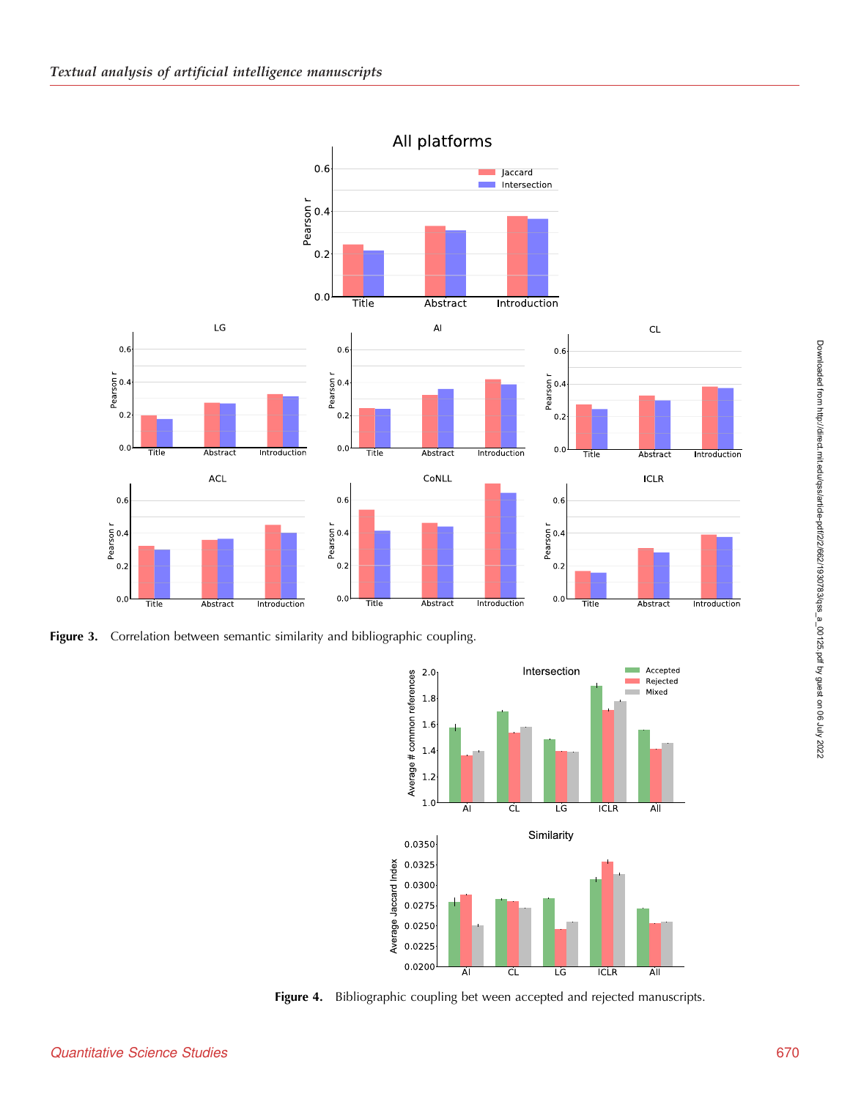<span id="page-8-0"></span>

Figure 3. Correlation between semantic similarity and bibliographic coupling.



Figure 4. Bibliographic coupling bet ween accepted and rejected manuscripts.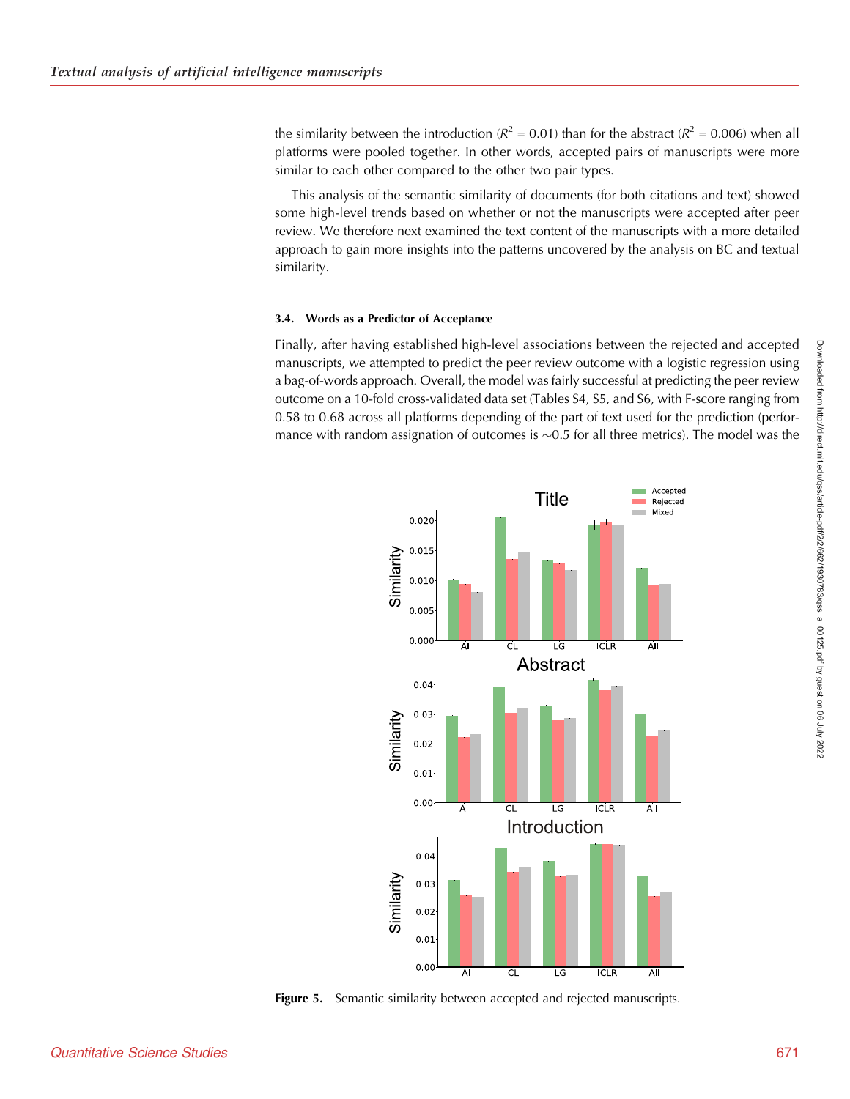<span id="page-9-0"></span>the similarity between the introduction ( $R^2 = 0.01$ ) than for the abstract ( $R^2 = 0.006$ ) when all platforms were pooled together. In other words, accepted pairs of manuscripts were more similar to each other compared to the other two pair types.

This analysis of the semantic similarity of documents (for both citations and text) showed some high-level trends based on whether or not the manuscripts were accepted after peer review. We therefore next examined the text content of the manuscripts with a more detailed approach to gain more insights into the patterns uncovered by the analysis on BC and textual similarity.

#### 3.4. Words as a Predictor of Acceptance

Finally, after having established high-level associations between the rejected and accepted manuscripts, we attempted to predict the peer review outcome with a logistic regression using a bag-of-words approach. Overall, the model was fairly successful at predicting the peer review outcome on a 10-fold cross-validated data set (Tables S4, S5, and S6, with F-score ranging from 0.58 to 0.68 across all platforms depending of the part of text used for the prediction (performance with random assignation of outcomes is  ${\sim}0.5$  for all three metrics). The model was the



Figure 5. Semantic similarity between accepted and rejected manuscripts.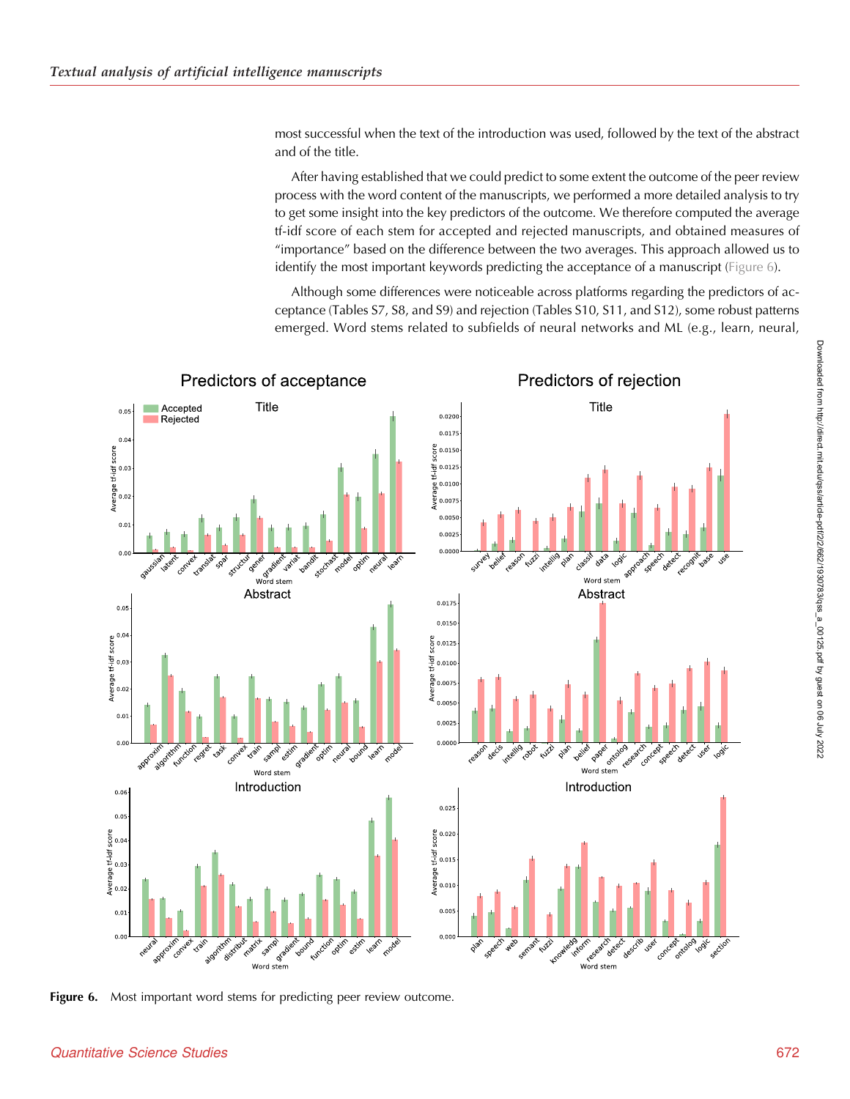most successful when the text of the introduction was used, followed by the text of the abstract and of the title.

After having established that we could predict to some extent the outcome of the peer review process with the word content of the manuscripts, we performed a more detailed analysis to try to get some insight into the key predictors of the outcome. We therefore computed the average tf-idf score of each stem for accepted and rejected manuscripts, and obtained measures of "importance" based on the difference between the two averages. This approach allowed us to identify the most important keywords predicting the acceptance of a manuscript (Figure 6).

Although some differences were noticeable across platforms regarding the predictors of acceptance (Tables S7, S8, and S9) and rejection (Tables S10, S11, and S12), some robust patterns emerged. Word stems related to subfields of neural networks and ML (e.g., learn, neural,



Figure 6. Most important word stems for predicting peer review outcome.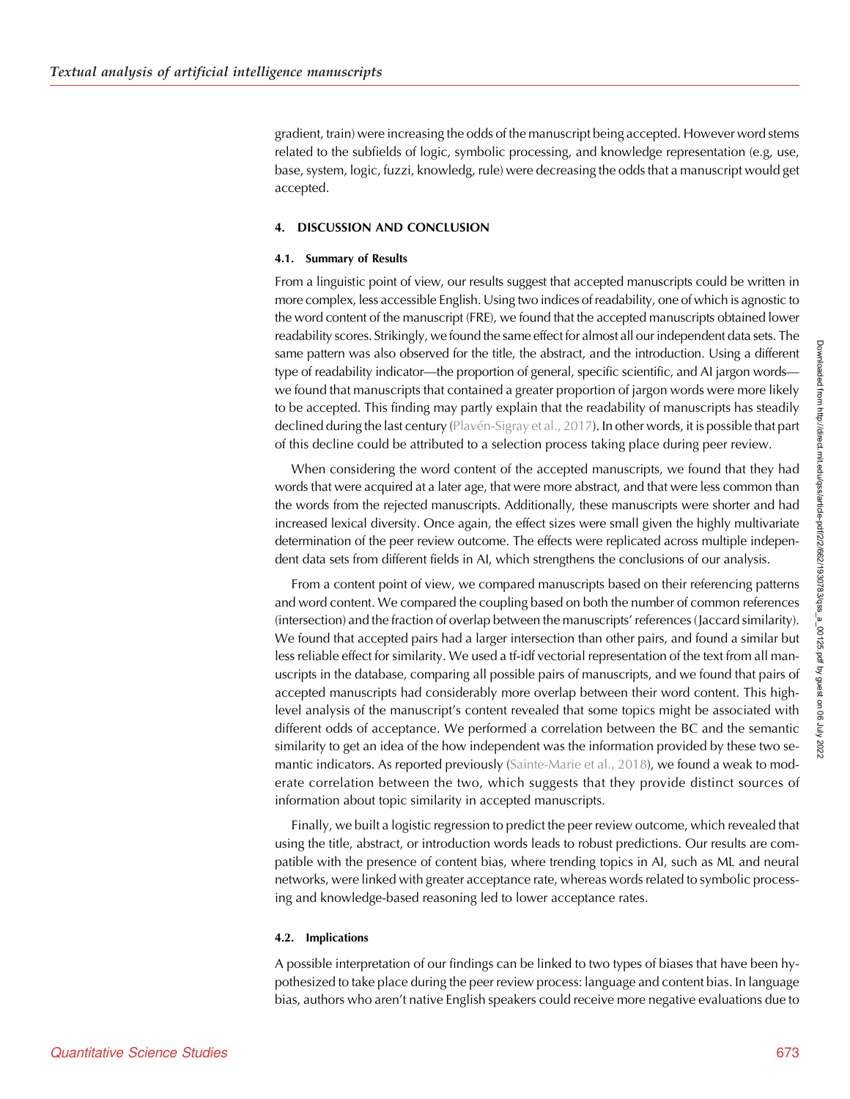gradient, train) were increasing the odds of the manuscript being accepted. However word stems related to the subfields of logic, symbolic processing, and knowledge representation (e.g, use, base, system, logic, fuzzi, knowledg, rule) were decreasing the odds that a manuscript would get accepted.

## 4. DISCUSSION AND CONCLUSION

#### 4.1. Summary of Results

From a linguistic point of view, our results suggest that accepted manuscripts could be written in more complex, less accessible English. Using two indices of readability, one of which is agnostic to the word content of the manuscript (FRE), we found that the accepted manuscripts obtained lower readability scores. Strikingly, we found the same effect for almost all our independent data sets. The same pattern was also observed for the title, the abstract, and the introduction. Using a different type of readability indicator—the proportion of general, specific scientific, and AI jargon words we found that manuscripts that contained a greater proportion of jargon words were more likely to be accepted. This finding may partly explain that the readability of manuscripts has steadily declined during the last century [\(Plavén-Sigray et al., 2017](#page-15-0)). In other words, it is possible that part of this decline could be attributed to a selection process taking place during peer review.

When considering the word content of the accepted manuscripts, we found that they had words that were acquired at a later age, that were more abstract, and that were less common than the words from the rejected manuscripts. Additionally, these manuscripts were shorter and had increased lexical diversity. Once again, the effect sizes were small given the highly multivariate determination of the peer review outcome. The effects were replicated across multiple independent data sets from different fields in AI, which strengthens the conclusions of our analysis.

From a content point of view, we compared manuscripts based on their referencing patterns and word content. We compared the coupling based on both the number of common references (intersection) and the fraction of overlap between the manuscripts' references (Jaccard similarity). We found that accepted pairs had a larger intersection than other pairs, and found a similar but less reliable effect for similarity. We used a tf-idf vectorial representation of the text from all manuscripts in the database, comparing all possible pairs of manuscripts, and we found that pairs of accepted manuscripts had considerably more overlap between their word content. This highlevel analysis of the manuscript's content revealed that some topics might be associated with different odds of acceptance. We performed a correlation between the BC and the semantic similarity to get an idea of the how independent was the information provided by these two semantic indicators. As reported previously ([Sainte-Marie et al., 2018](#page-15-0)), we found a weak to moderate correlation between the two, which suggests that they provide distinct sources of information about topic similarity in accepted manuscripts.

Finally, we built a logistic regression to predict the peer review outcome, which revealed that using the title, abstract, or introduction words leads to robust predictions. Our results are compatible with the presence of content bias, where trending topics in AI, such as ML and neural networks, were linked with greater acceptance rate, whereas words related to symbolic processing and knowledge-based reasoning led to lower acceptance rates.

## 4.2. Implications

A possible interpretation of our findings can be linked to two types of biases that have been hypothesized to take place during the peer review process: language and content bias. In language bias, authors who aren't native English speakers could receive more negative evaluations due to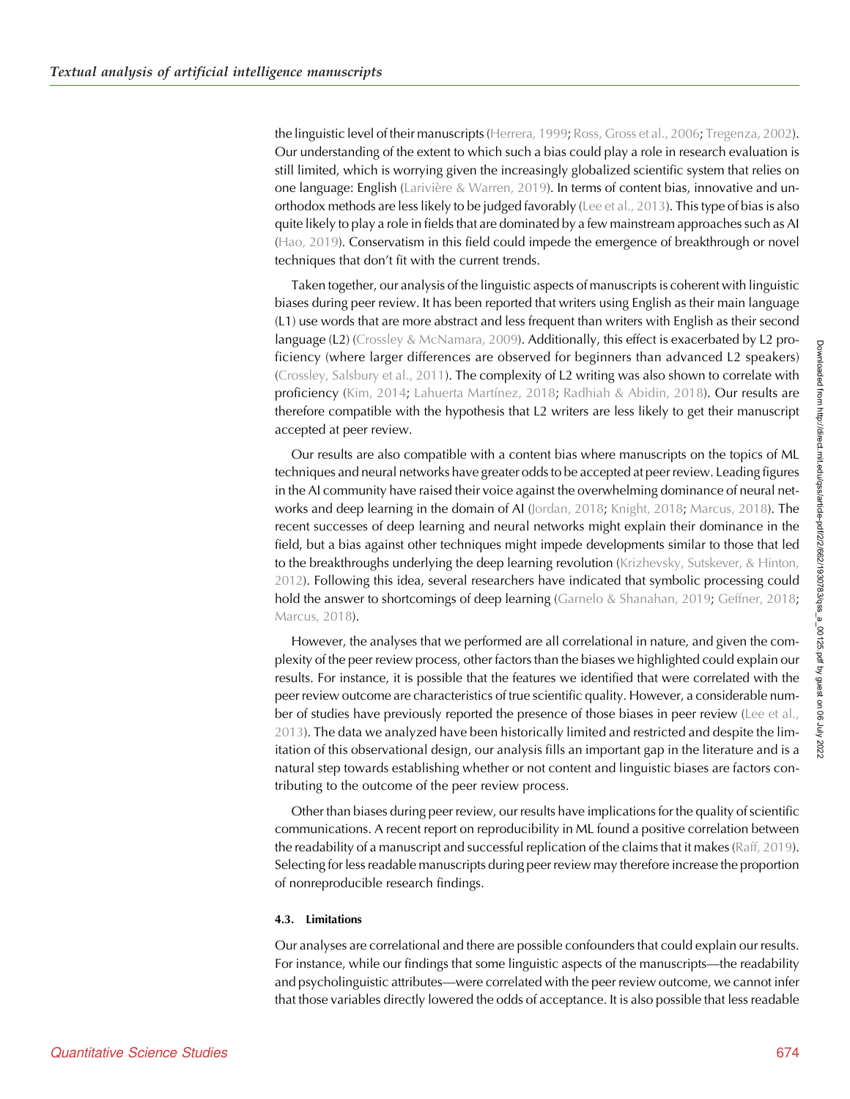the linguistic level of their manuscripts [\(Herrera, 1999](#page-14-0); [Ross, Gross et al., 2006](#page-15-0); [Tregenza, 2002\)](#page-15-0). Our understanding of the extent to which such a bias could play a role in research evaluation is still limited, which is worrying given the increasingly globalized scientific system that relies on one language: English [\(Larivière & Warren, 2019\)](#page-14-0). In terms of content bias, innovative and unorthodox methods are less likely to be judged favorably ([Lee et al., 2013\)](#page-14-0). This type of bias is also quite likely to play a role in fields that are dominated by a few mainstream approaches such as AI ([Hao, 2019\)](#page-14-0). Conservatism in this field could impede the emergence of breakthrough or novel techniques that don't fit with the current trends.

Taken together, our analysis of the linguistic aspects of manuscripts is coherent with linguistic biases during peer review. It has been reported that writers using English as their main language (L1) use words that are more abstract and less frequent than writers with English as their second language (L2) ([Crossley & McNamara, 2009](#page-14-0)). Additionally, this effect is exacerbated by L2 proficiency (where larger differences are observed for beginners than advanced L2 speakers) ([Crossley, Salsbury et al., 2011\)](#page-14-0). The complexity of L2 writing was also shown to correlate with proficiency ([Kim, 2014;](#page-14-0) [Lahuerta Martínez, 2018](#page-14-0); [Radhiah & Abidin, 2018\)](#page-15-0). Our results are therefore compatible with the hypothesis that L2 writers are less likely to get their manuscript accepted at peer review.

Our results are also compatible with a content bias where manuscripts on the topics of ML techniques and neural networks have greater odds to be accepted at peer review. Leading figures in the AI community have raised their voice against the overwhelming dominance of neural networks and deep learning in the domain of AI [\(Jordan, 2018](#page-14-0); [Knight, 2018](#page-14-0); [Marcus, 2018](#page-14-0)). The recent successes of deep learning and neural networks might explain their dominance in the field, but a bias against other techniques might impede developments similar to those that led to the breakthroughs underlying the deep learning revolution ([Krizhevsky, Sutskever, & Hinton,](#page-14-0) [2012](#page-14-0)). Following this idea, several researchers have indicated that symbolic processing could hold the answer to shortcomings of deep learning ([Garnelo & Shanahan, 2019](#page-14-0); [Geffner, 2018](#page-14-0); [Marcus, 2018\)](#page-14-0).

However, the analyses that we performed are all correlational in nature, and given the complexity of the peer review process, other factors than the biases we highlighted could explain our results. For instance, it is possible that the features we identified that were correlated with the peer review outcome are characteristics of true scientific quality. However, a considerable num-ber of studies have previously reported the presence of those biases in peer review ([Lee et al.,](#page-14-0) [2013\)](#page-14-0). The data we analyzed have been historically limited and restricted and despite the limitation of this observational design, our analysis fills an important gap in the literature and is a natural step towards establishing whether or not content and linguistic biases are factors contributing to the outcome of the peer review process.

Other than biases during peer review, our results have implications for the quality of scientific communications. A recent report on reproducibility in ML found a positive correlation between the readability of a manuscript and successful replication of the claims that it makes ([Raff, 2019\)](#page-15-0). Selecting for less readable manuscripts during peer review may therefore increase the proportion of nonreproducible research findings.

## 4.3. Limitations

Our analyses are correlational and there are possible confounders that could explain our results. For instance, while our findings that some linguistic aspects of the manuscripts—the readability and psycholinguistic attributes—were correlated with the peer review outcome, we cannot infer that those variables directly lowered the odds of acceptance. It is also possible that less readable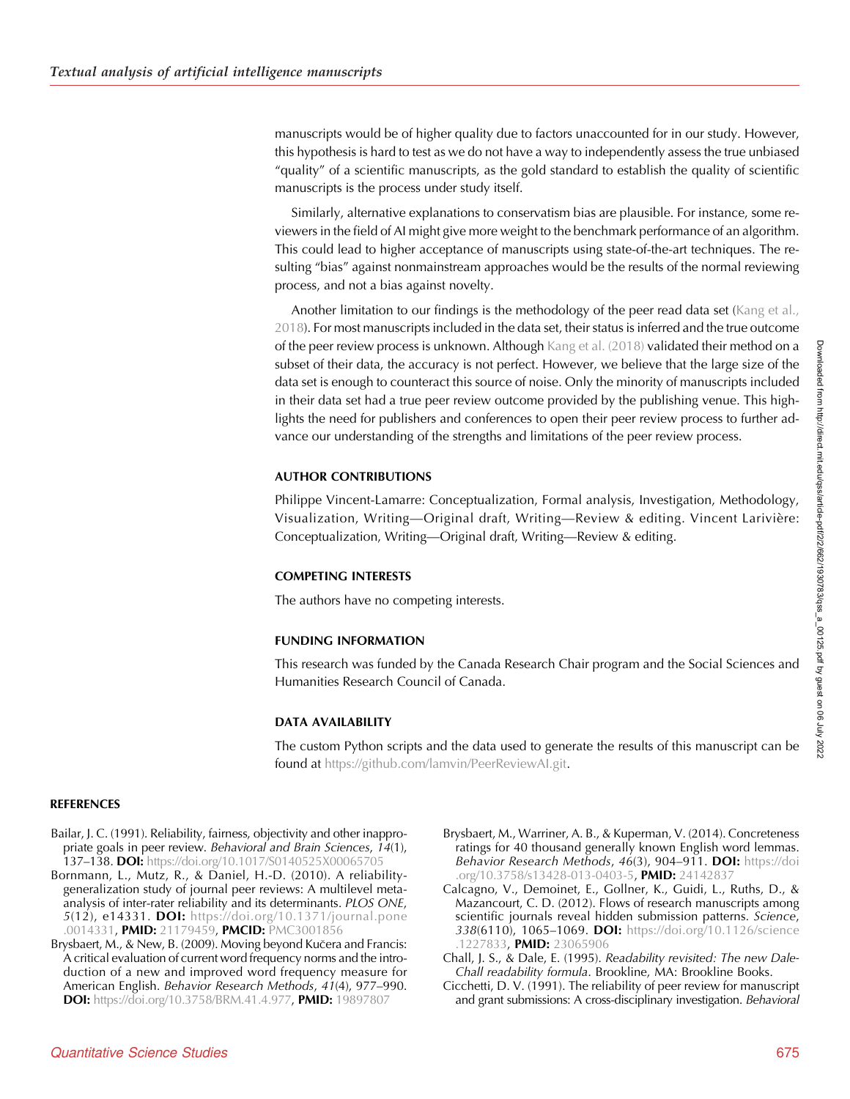<span id="page-13-0"></span>manuscripts would be of higher quality due to factors unaccounted for in our study. However, this hypothesis is hard to test as we do not have a way to independently assess the true unbiased "quality" of a scientific manuscripts, as the gold standard to establish the quality of scientific manuscripts is the process under study itself.

Similarly, alternative explanations to conservatism bias are plausible. For instance, some reviewers in the field of AI might give more weight to the benchmark performance of an algorithm. This could lead to higher acceptance of manuscripts using state-of-the-art techniques. The resulting "bias" against nonmainstream approaches would be the results of the normal reviewing process, and not a bias against novelty.

Another limitation to our findings is the methodology of the peer read data set [\(Kang et al.,](#page-14-0) [2018\)](#page-14-0). For most manuscripts included in the data set, their status is inferred and the true outcome of the peer review process is unknown. Although [Kang et al. \(2018\)](#page-14-0) validated their method on a subset of their data, the accuracy is not perfect. However, we believe that the large size of the data set is enough to counteract this source of noise. Only the minority of manuscripts included in their data set had a true peer review outcome provided by the publishing venue. This highlights the need for publishers and conferences to open their peer review process to further advance our understanding of the strengths and limitations of the peer review process.

# AUTHOR CONTRIBUTIONS

Philippe Vincent-Lamarre: Conceptualization, Formal analysis, Investigation, Methodology, Visualization, Writing—Original draft, Writing—Review & editing. Vincent Larivière: Conceptualization, Writing—Original draft, Writing—Review & editing.

# COMPETING INTERESTS

The authors have no competing interests.

# FUNDING INFORMATION

This research was funded by the Canada Research Chair program and the Social Sciences and Humanities Research Council of Canada.

# DATA AVAILABILITY

The custom Python scripts and the data used to generate the results of this manuscript can be found at <https://github.com/lamvin/PeerReviewAI.git>.

## **REFERENCES**

- Bailar, J. C. (1991). Reliability, fairness, objectivity and other inappropriate goals in peer review. Behavioral and Brain Sciences, 14(1), 137–138. DOI: <https://doi.org/10.1017/S0140525X00065705>
- Bornmann, L., Mutz, R., & Daniel, H.-D. (2010). A reliabilitygeneralization study of journal peer reviews: A multilevel metaanalysis of inter-rater reliability and its determinants. PLOS ONE, 5(12), e14331. DOI: [https://doi.org/10.1371/journal.pone](https://doi.org/10.1371/journal.pone.0014331) [.0014331,](https://doi.org/10.1371/journal.pone.0014331) PMID: [21179459](https://europepmc.org/article/MED/21179459), PMCID: [PMC3001856](https://www.ncbi.nlm.nih.gov/pmc/articles/PMC3001856)
- Brysbaert, M., & New, B. (2009). Moving beyond Kučera and Francis: A critical evaluation of current word frequency norms and the introduction of a new and improved word frequency measure for American English. Behavior Research Methods, 41(4), 977–990. DOI: [https://doi.org/10.3758/BRM.41.4.977,](https://doi.org/10.3758/BRM.41.4.977) PMID: [19897807](https://europepmc.org/article/MED/19897807)
- Brysbaert, M., Warriner, A. B., & Kuperman, V. (2014). Concreteness ratings for 40 thousand generally known English word lemmas. Behavior Research Methods, 46(3), 904-911. DOI: [https://doi](https://doi.org/10.3758/s13428-013-0403-5) [.org/10.3758/s13428-013-0403-5,](https://doi.org/10.3758/s13428-013-0403-5) PMID: [24142837](https://europepmc.org/article/MED/24142837)
- Calcagno, V., Demoinet, E., Gollner, K., Guidi, L., Ruths, D., & Mazancourt, C. D. (2012). Flows of research manuscripts among scientific journals reveal hidden submission patterns. Science, 338(6110), 1065-1069. DOI: [https://doi.org/10.1126/science](https://doi.org/10.1126/science.1227833) [.1227833](https://doi.org/10.1126/science.1227833), PMID: [23065906](https://europepmc.org/article/MED/23065906)
- Chall, J. S., & Dale, E. (1995). Readability revisited: The new Dale-Chall readability formula. Brookline, MA: Brookline Books.
- Cicchetti, D. V. (1991). The reliability of peer review for manuscript and grant submissions: A cross-disciplinary investigation. Behavioral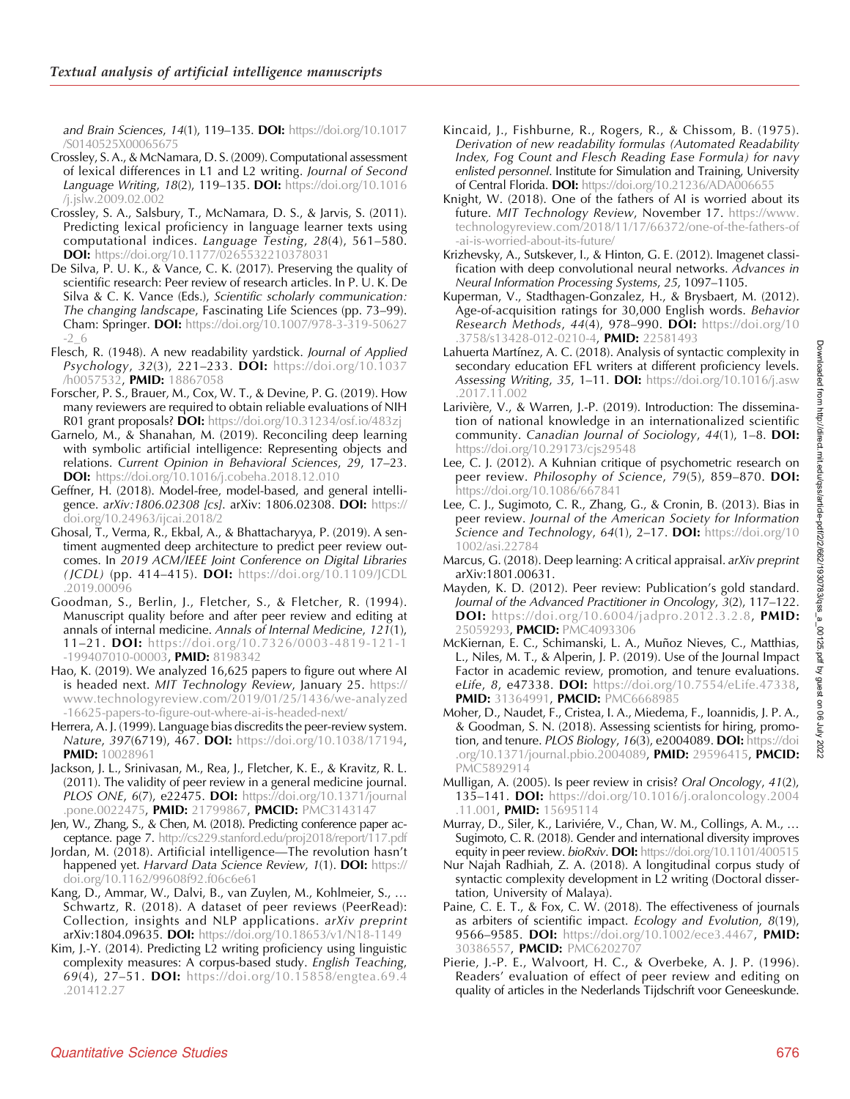<span id="page-14-0"></span>and Brain Sciences, 14(1), 119–135. **DOI:** [https://doi.org/10.1017](https://doi.org/10.1017/S0140525X00065675) [/S0140525X00065675](https://doi.org/10.1017/S0140525X00065675)

- Crossley, S. A., & McNamara, D. S. (2009). Computational assessment of lexical differences in L1 and L2 writing. Journal of Second Language Writing, 18(2), 119–135. DOI: [https://doi.org/10.1016](https://doi.org/10.1016/j.jslw.2009.02.002) [/j.jslw.2009.02.002](https://doi.org/10.1016/j.jslw.2009.02.002)
- Crossley, S. A., Salsbury, T., McNamara, D. S., & Jarvis, S. (2011). Predicting lexical proficiency in language learner texts using computational indices. Language Testing, 28(4), 561–580. DOI: <https://doi.org/10.1177/0265532210378031>
- De Silva, P. U. K., & Vance, C. K. (2017). Preserving the quality of scientific research: Peer review of research articles. In P. U. K. De Silva & C. K. Vance (Eds.), Scientific scholarly communication: The changing landscape, Fascinating Life Sciences (pp. 73–99). **Cham: Springer. DOI:** [https://doi.org/10.1007/978-3-319-50627](https://doi.org/10.1007/978-3-319-50627-2_6) [-2\\_6](https://doi.org/10.1007/978-3-319-50627-2_6)
- Flesch, R. (1948). A new readability yardstick. Journal of Applied Psychology, 32(3), 221-233. DOI: [https://doi.org/10.1037](https://doi.org/10.1037/h0057532) [/h0057532,](https://doi.org/10.1037/h0057532) PMID: [18867058](https://europepmc.org/article/MED/18867058)
- Forscher, P. S., Brauer, M., Cox, W. T., & Devine, P. G. (2019). How many reviewers are required to obtain reliable evaluations of NIH R01 grant proposals? DOI: <https://doi.org/10.31234/osf.io/483zj>
- Garnelo, M., & Shanahan, M. (2019). Reconciling deep learning with symbolic artificial intelligence: Representing objects and relations. Current Opinion in Behavioral Sciences, 29, 17–23. DOI: <https://doi.org/10.1016/j.cobeha.2018.12.010>
- Geffner, H. (2018). Model-free, model-based, and general intelligence. arXiv:1806.02308 [cs]. arXiv: 1806.02308. DOI: [https://](https://doi.org/10.24963/ijcai.2018/2) [doi.org/10.24963/ijcai.2018/2](https://doi.org/10.24963/ijcai.2018/2)
- Ghosal, T., Verma, R., Ekbal, A., & Bhattacharyya, P. (2019). A sentiment augmented deep architecture to predict peer review outcomes. In 2019 ACM/IEEE Joint Conference on Digital Libraries (JCDL) (pp. 414–415). DOI: [https://doi.org/10.1109/JCDL](https://doi.org/10.1109/JCDL.2019.00096) [.2019.00096](https://doi.org/10.1109/JCDL.2019.00096)
- Goodman, S., Berlin, J., Fletcher, S., & Fletcher, R. (1994). Manuscript quality before and after peer review and editing at annals of internal medicine. Annals of Internal Medicine, 121(1), 11–21. DOI: [https://doi.org/10.7326/0003-4819-121-1](https://doi.org/10.7326/0003-4819-121-1-199407010-00003) [-199407010-00003,](https://doi.org/10.7326/0003-4819-121-1-199407010-00003) PMID: [8198342](https://europepmc.org/article/MED/8198342)
- Hao, K. (2019). We analyzed 16,625 papers to figure out where AI is headed next. MIT Technology Review, January 25. [https://](https://www.technologyreview.com/2019/01/25/1436/we-analyzed-16625-papers-to-figure-out-where-ai-is-headed-next/) [www.technologyreview.com/2019/01/25/1436/we-analyzed](https://www.technologyreview.com/2019/01/25/1436/we-analyzed-16625-papers-to-figure-out-where-ai-is-headed-next/) [-16625-papers-to-figure-out-where-ai-is-headed-next/](https://www.technologyreview.com/2019/01/25/1436/we-analyzed-16625-papers-to-figure-out-where-ai-is-headed-next/)
- Herrera, A. J. (1999). Language bias discredits the peer-review system. Nature, 397(6719), 467. DOI: [https://doi.org/10.1038/17194,](https://doi.org/10.1038/17194) PMID: [10028961](https://europepmc.org/article/MED/10028961)
- Jackson, J. L., Srinivasan, M., Rea, J., Fletcher, K. E., & Kravitz, R. L. (2011). The validity of peer review in a general medicine journal. **PLOS ONE, 6(7), e22475. DOI:** [https://doi.org/10.1371/journal](https://doi.org/10.1371/journal.pone.0022475) [.pone.0022475,](https://doi.org/10.1371/journal.pone.0022475) PMID: [21799867](https://europepmc.org/article/MED/21799867), PMCID: [PMC3143147](https://www.ncbi.nlm.nih.gov/pmc/articles/PMC3143147)
- Jen, W., Zhang, S., & Chen, M. (2018). Predicting conference paper acceptance. page 7. <http://cs229.stanford.edu/proj2018/report/117.pdf>
- Jordan, M. (2018). Artificial intelligence—The revolution hasn't happened yet. Harvard Data Science Review, 1(1). DOI: [https://](https://doi.org/10.1162/99608f92.f06c6e61) [doi.org/10.1162/99608f92.f06c6e61](https://doi.org/10.1162/99608f92.f06c6e61)
- Kang, D., Ammar, W., Dalvi, B., van Zuylen, M., Kohlmeier, S., … Schwartz, R. (2018). A dataset of peer reviews (PeerRead): Collection, insights and NLP applications. arXiv preprint arXiv:1804.09635. DOI: <https://doi.org/10.18653/v1/N18-1149>
- Kim, J.-Y. (2014). Predicting L2 writing proficiency using linguistic complexity measures: A corpus-based study. English Teaching, 69(4), 27–51. DOI: [https://doi.org/10.15858/engtea.69.4](https://doi.org/10.15858/engtea.69.4.201412.27) [.201412.27](https://doi.org/10.15858/engtea.69.4.201412.27)
- Kincaid, J., Fishburne, R., Rogers, R., & Chissom, B. (1975). Derivation of new readability formulas (Automated Readability Index, Fog Count and Flesch Reading Ease Formula) for navy enlisted personnel. Institute for Simulation and Training, University of Central Florida. DOI: <https://doi.org/10.21236/ADA006655>
- Knight, W. (2018). One of the fathers of AI is worried about its future. MIT Technology Review, November 17. [https://www.](https://www.technologyreview.com/2018/11/17/66372/one-of-the-fathers-of-ai-is-worried-about-its-future/) [technologyreview.com/2018/11/17/66372/one-of-the-fathers-of](https://www.technologyreview.com/2018/11/17/66372/one-of-the-fathers-of-ai-is-worried-about-its-future/) [-ai-is-worried-about-its-future/](https://www.technologyreview.com/2018/11/17/66372/one-of-the-fathers-of-ai-is-worried-about-its-future/)
- Krizhevsky, A., Sutskever, I., & Hinton, G. E. (2012). Imagenet classification with deep convolutional neural networks. Advances in Neural Information Processing Systems, 25, 1097–1105.
- Kuperman, V., Stadthagen-Gonzalez, H., & Brysbaert, M. (2012). Age-of-acquisition ratings for 30,000 English words. Behavior **Research Methods, 44(4), 978–990. DOI:** [https://doi.org/10](https://doi.org/10.3758/s13428-012-0210-4) [.3758/s13428-012-0210-4,](https://doi.org/10.3758/s13428-012-0210-4) PMID: [22581493](https://europepmc.org/article/MED/22581493)
- Lahuerta Martínez, A. C. (2018). Analysis of syntactic complexity in secondary education EFL writers at different proficiency levels. Assessing Writing, 35, 1-11. DOI: [https://doi.org/10.1016/j.asw](https://doi.org/10.1016/j.asw.2017.11.002) [.2017.11.002](https://doi.org/10.1016/j.asw.2017.11.002)
- Larivière, V., & Warren, J.-P. (2019). Introduction: The dissemination of national knowledge in an internationalized scientific community. Canadian Journal of Sociology, 44(1), 1–8. DOI: <https://doi.org/10.29173/cjs29548>
- Lee, C. J. (2012). A Kuhnian critique of psychometric research on peer review. Philosophy of Science, 79(5), 859-870. DOI: <https://doi.org/10.1086/667841>
- Lee, C. J., Sugimoto, C. R., Zhang, G., & Cronin, B. (2013). Bias in peer review. Journal of the American Society for Information Science and Technology, 64(1), 2-17. DOI: [https://doi.org/10](https://doi.org/10.1002/asi.22784) [1002/asi.22784](https://doi.org/10.1002/asi.22784)
- Marcus, G. (2018). Deep learning: A critical appraisal. arXiv preprint arXiv:1801.00631.
- Mayden, K. D. (2012). Peer review: Publication's gold standard. Journal of the Advanced Practitioner in Oncology, 3(2), 117–122. **DOI:** <https://doi.org/10.6004/jadpro.2012.3.2.8>, PMID: [25059293](https://europepmc.org/article/MED/25059293), PMCID: [PMC4093306](https://www.ncbi.nlm.nih.gov/pmc/articles/PMC4093306)
- McKiernan, E. C., Schimanski, L. A., Muñoz Nieves, C., Matthias, L., Niles, M. T., & Alperin, J. P. (2019). Use of the Journal Impact Factor in academic review, promotion, and tenure evaluations. eLife, 8, e47338. DOI: [https://doi.org/10.7554/eLife.47338,](https://doi.org/10.7554/eLife.47338) **PMID: [31364991](https://europepmc.org/article/MED/31364991), PMCID: [PMC6668985](https://www.ncbi.nlm.nih.gov/pmc/articles/PMC6668985)**
- Moher, D., Naudet, F., Cristea, I. A., Miedema, F., Ioannidis, J. P. A., & Goodman, S. N. (2018). Assessing scientists for hiring, promotion, and tenure. PLOS Biology, 16(3), e2004089. DOI: [https://doi](https://doi.org/10.1371/journal.pbio.2004089) [.org/10.1371/journal.pbio.2004089,](https://doi.org/10.1371/journal.pbio.2004089) PMID: [29596415](https://europepmc.org/article/MED/29596415), PMCID: [PMC5892914](https://www.ncbi.nlm.nih.gov/pmc/articles/PMC5892914)
- Mulligan, A. (2005). Is peer review in crisis? Oral Oncology, 41(2), 135–141. DOI: [https://doi.org/10.1016/j.oraloncology.2004](https://doi.org/10.1016/j.oraloncology.2004.11.001) [.11.001,](https://doi.org/10.1016/j.oraloncology.2004.11.001) PMID: [15695114](https://europepmc.org/article/MED/15695114)
- Murray, D., Siler, K., Lariviére, V., Chan, W. M., Collings, A. M., … Sugimoto, C. R. (2018). Gender and international diversity improves equity in peer review. bioRxiv. DOI: <https://doi.org/10.1101/400515>
- Nur Najah Radhiah, Z. A. (2018). A longitudinal corpus study of syntactic complexity development in L2 writing (Doctoral dissertation, University of Malaya).
- Paine, C. E. T., & Fox, C. W. (2018). The effectiveness of journals as arbiters of scientific impact. Ecology and Evolution, 8(19), 9566-9585. DOI: <https://doi.org/10.1002/ece3.4467>, PMID: [30386557,](https://europepmc.org/article/MED/30386557) PMCID: [PMC6202707](https://www.ncbi.nlm.nih.gov/pmc/articles/PMC6202707)
- Pierie, J.-P. E., Walvoort, H. C., & Overbeke, A. J. P. (1996). Readers' evaluation of effect of peer review and editing on quality of articles in the Nederlands Tijdschrift voor Geneeskunde.

2022